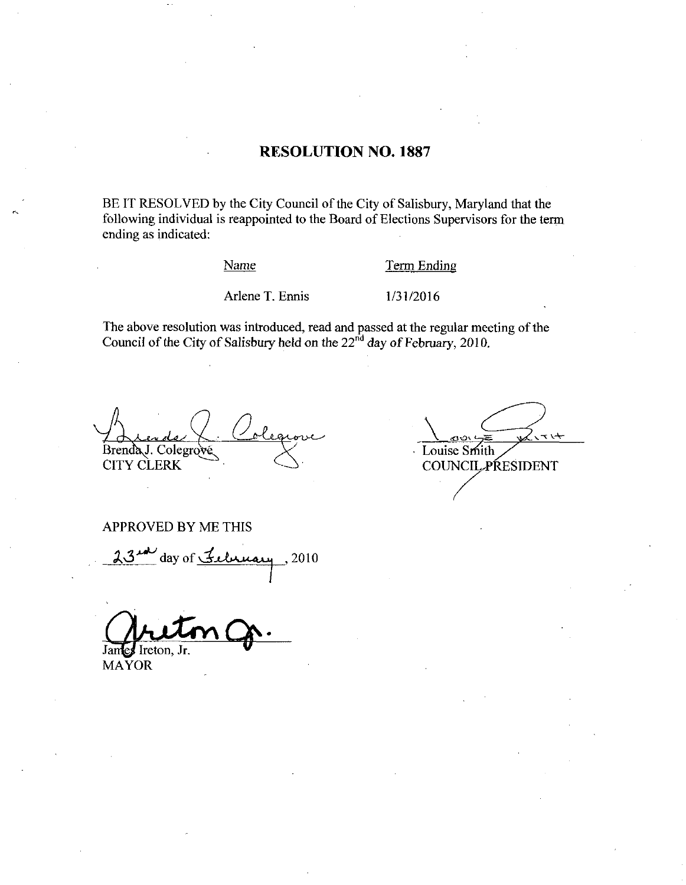### RESOLUTION NO. 1887

BE IT RESOLVED by the City Council of the City of Salisbury, Maryland that the following individual is reappointed to the Board of Elections Supervisors for the term ending as indicated Name Term Endi<br>Arlene T. Ennis 1/31/2016

## Name Term Ending

The above resolution was introduced, read and passed at the regular meeting of the Council of the City of Salisbury held on the  $22<sup>nd</sup>$  day of February, 2010.

Brenda J. Colegrove CITY CLERK

بر رج Louise Smith **COUNCIL PRESIDENT** 

APPROVED BY ME THIS

day of  $\frac{7}{2}$ cherrary, 2010

James Ireton, Jr.

MAYOR

R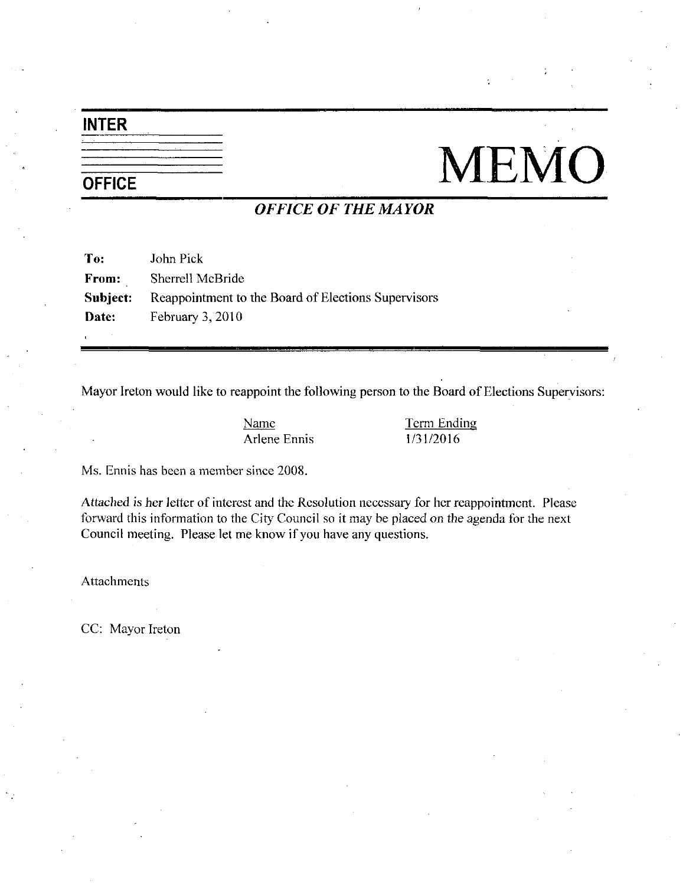## INTER

# NEMO

# OFFICE OF THE MAYOR

| To:      | John Pick                                           |
|----------|-----------------------------------------------------|
| From:    | Sherrell McBride                                    |
| Subject: | Reappointment to the Board of Elections Supervisors |
| Date:    | February $3,2010$                                   |
|          |                                                     |

Mayor Ireton would like to reappoint the following person to the Board of Elections Supervisors: Ample in the following person to the Board<br>
Name<br>
Arlene Ennis 1/31/2016

Name Term Ending

Arlene Ennis .<br>Ms. Ennis has been a member since 2008.

Attached is her letter of interest and the Resolution necessary for her reappointment. Please forward this information to the City Council so it may be placed on the agenda for the next Council meeting. Please let me know if you have any questions.

Attachments

CC: Mayor Ireton